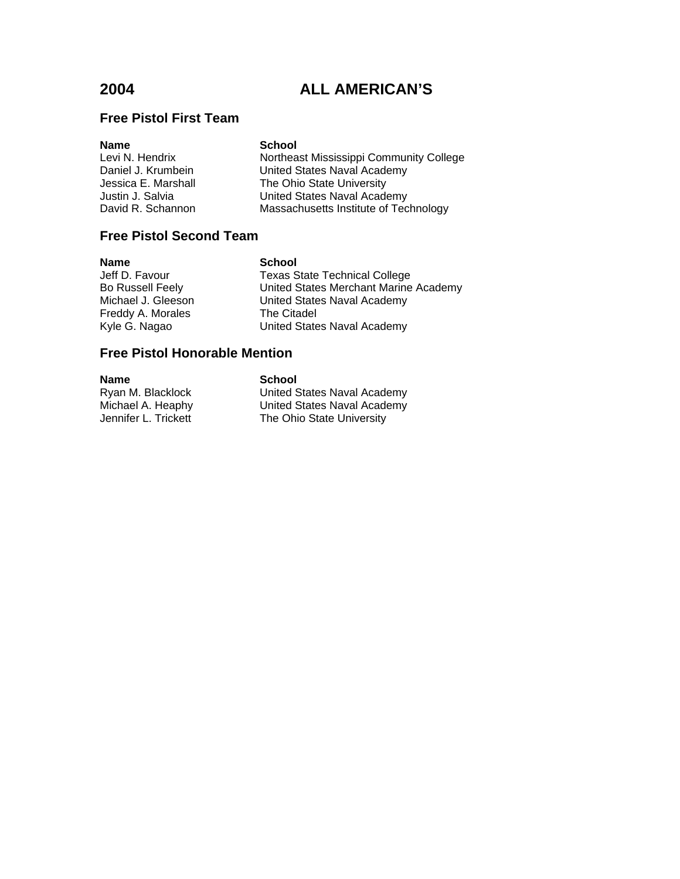## **Free Pistol First Team**

| <b>Name</b>         |  |  |
|---------------------|--|--|
| Levi N. Hendrix     |  |  |
| Daniel J. Krumbein  |  |  |
| Jessica E. Marshall |  |  |
| Justin J. Salvia    |  |  |
| David R. Schannon   |  |  |

#### **School**

Northeast Mississippi Community College United States Naval Academy The Ohio State University United States Naval Academy Massachusetts Institute of Technology

## **Free Pistol Second Team**

| Name                    |
|-------------------------|
| Jeff D. Favour          |
| <b>Bo Russell Feely</b> |
| Michael J. Gleeson      |
| Freddy A. Morales       |
| Kvle G. Nagao           |

**School** Texas State Technical College United States Merchant Marine Academy United States Naval Academy The Citadel Kyle G. Nagao United States Naval Academy

## **Free Pistol Honorable Mention**

**Name School**<br> **Ryan M. Blacklock Computer** United S

United States Naval Academy Michael A. Heaphy United States Naval Academy<br>Jennifer L. Trickett The Ohio State University The Ohio State University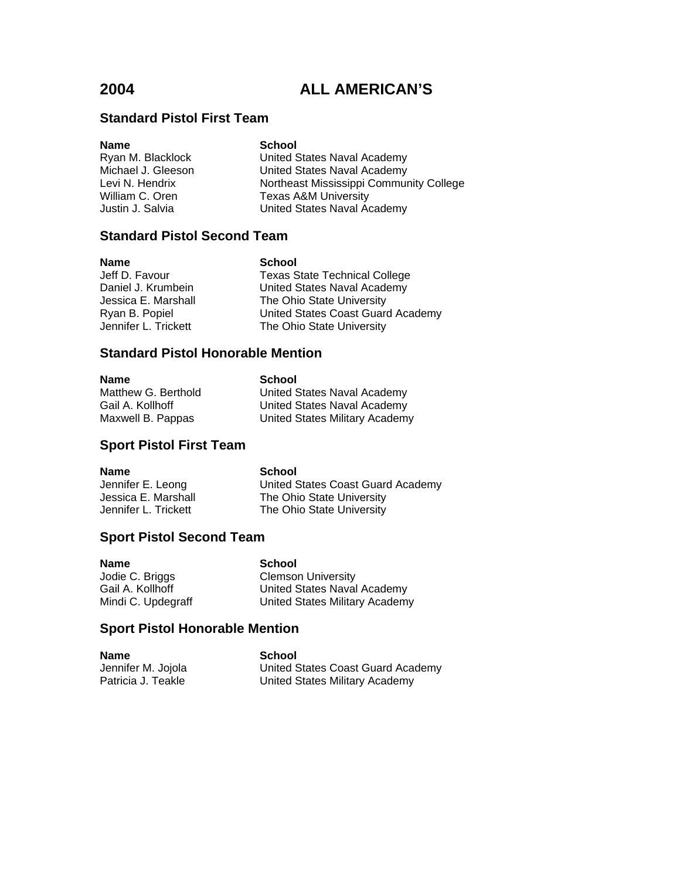## **Standard Pistol First Team**

| United States Naval Academy             |
|-----------------------------------------|
| United States Naval Academy             |
| Northeast Mississippi Community College |
|                                         |
| United States Naval Academy             |
|                                         |

## **Standard Pistol Second Team**

**Name**<br> **School**<br> **School**<br> **School**<br> **School**<br> **School**<br> **School**<br> **School** 

Texas State Technical College Daniel J. Krumbein United States Naval Academy<br>Jessica E. Marshall The Ohio State University The Ohio State University Ryan B. Popiel United States Coast Guard Academy Jennifer L. Trickett The Ohio State University

### **Standard Pistol Honorable Mention**

| <b>Name</b>         | School                         |
|---------------------|--------------------------------|
| Matthew G. Berthold | United States Naval Academy    |
| Gail A. Kollhoff    | United States Naval Academy    |
| Maxwell B. Pappas   | United States Military Academy |

### **Sport Pistol First Team**

#### **Name** School

Jennifer E. Leong United States Coast Guard Academy<br>Jessica E. Marshall The Ohio State University Jessica E. Marshall The Ohio State University<br>Jennifer L. Trickett The Ohio State University

The Ohio State University

**Sport Pistol Second Team**

**Name**<br> **School**<br> **School**<br> **School**<br> **School**<br> **School**<br> **School**<br> **School** 

**Clemson University** Gail A. Kollhoff United States Naval Academy Mindi C. Updegraff United States Military Academy

## **Sport Pistol Honorable Mention**

| <b>Name</b>        | School                            |
|--------------------|-----------------------------------|
| Jennifer M. Jojola | United States Coast Guard Academy |
| Patricia J. Teakle | United States Military Academy    |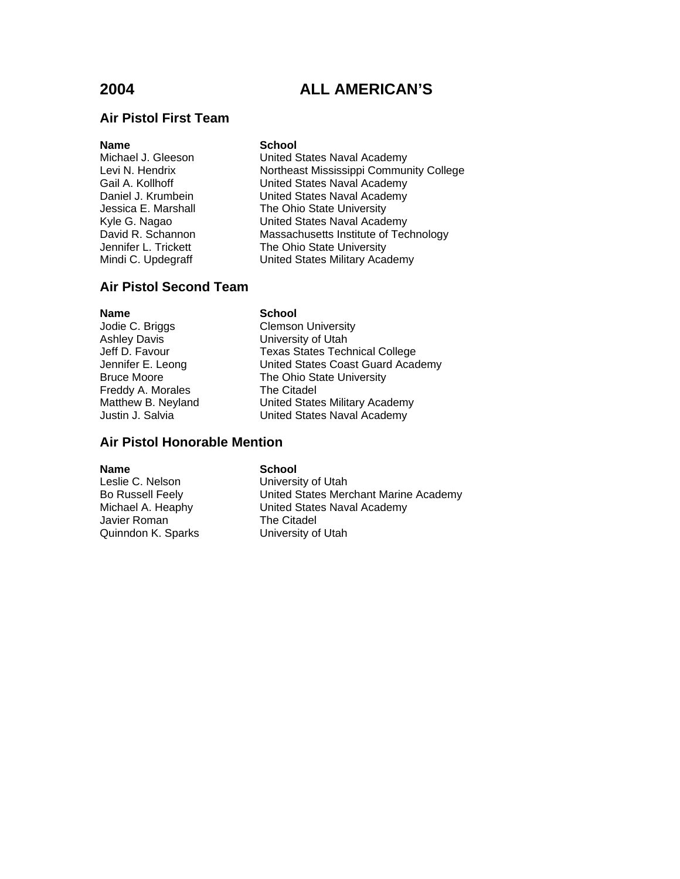## **Air Pistol First Team**

#### **Name** School

Michael J. Gleeson United States Naval Academy Levi N. Hendrix **Northeast Mississippi Community College**<br>
Gail A. Kollhoff **Norther College** United States Naval Academy United States Naval Academy Daniel J. Krumbein United States Naval Academy Jessica E. Marshall The Ohio State University<br>
Kyle G. Nagao Kyle United States Naval Acade United States Naval Academy David R. Schannon Massachusetts Institute of Technology Jennifer L. Trickett The Ohio State University<br>Mindi C. Updegraff The United States Military Academy United States Military Academy

## **Air Pistol Second Team**

**Name** School

Freddy A. Morales The Citadel

Jodie C. Briggs The Clemson University<br>
Ashley Davis Ashley Diversity of Utah University of Utah Jeff D. Favour Texas States Technical College Jennifer E. Leong United States Coast Guard Academy Bruce Moore The Ohio State University Matthew B. Neyland United States Military Academy<br>
Justin J. Salvia Canada United States Naval Academy United States Naval Academy

## **Air Pistol Honorable Mention**

Leslie C. Nelson University of Utah Javier Roman<br>Quinndon K. Sparks **The Citadel**<br>University of Utah Quinndon K. Sparks

#### **Name** School

Bo Russell Feely United States Merchant Marine Academy Michael A. Heaphy United States Naval Academy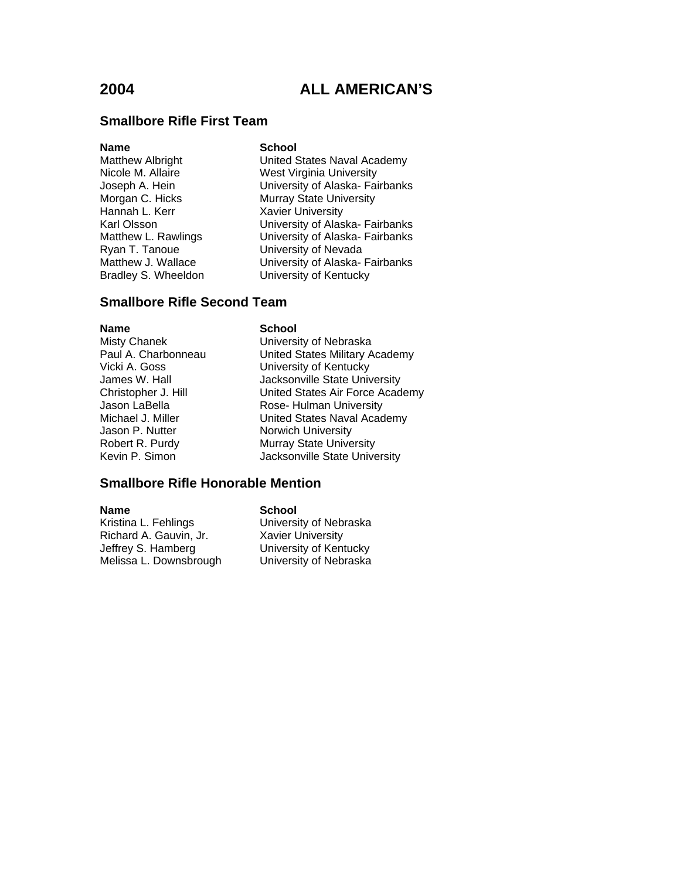#### **Smallbore Rifle First Team**

**Name School** Hannah L. Kerr Xavier University Ryan T. Tanoue **University of Nevada**<br>
Matthew J. Wallace **University of Alaska-**

United States Naval Academy Nicole M. Allaire **Micole M. Allaire** West Virginia University<br>
University of Alaska- Fai Joseph A. Hein **University of Alaska- Fairbanks**<br>Morgan C. Hicks **Murray State University** Murray State University Karl Olsson **University of Alaska- Fairbanks** Matthew L. Rawlings University of Alaska- Fairbanks Matthew J. Wallace **University of Alaska- Fairbanks**<br>Bradley S. Wheeldon **University of Kentucky University of Kentucky** 

## **Smallbore Rifle Second Team**

# **Name**<br>
Misty Chanek<br>
Misty Chanek<br> **School** Jason P. Nutter Norwich University

University of Nebraska Paul A. Charbonneau United States Military Academy Vicki A. Goss University of Kentucky Jacksonville State University Christopher J. Hill United States Air Force Academy Jason LaBella **Rose- Hulman University** Michael J. Miller **United States Naval Academy** Robert R. Purdy Murray State University Kevin P. Simon Jacksonville State University

### **Smallbore Rifle Honorable Mention**

Kristina L. Fehlings **University of Nebraska** Richard A. Gauvin, Jr. Xavier University Jeffrey S. Hamberg University of Kentucky Melissa L. Downsbrough University of Nebraska

**Name School**